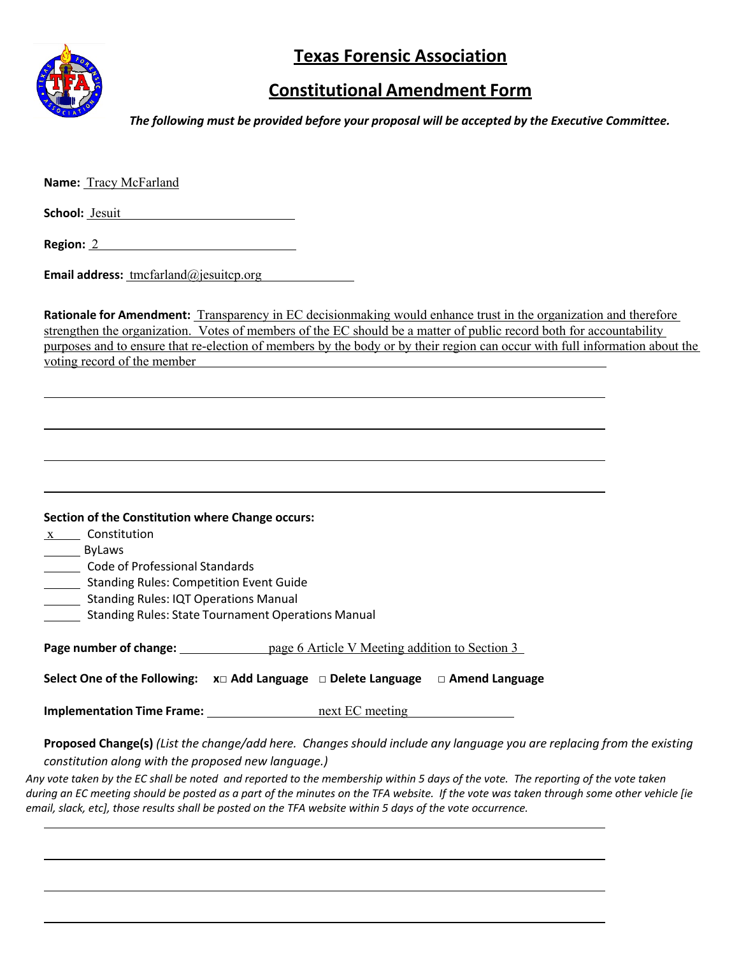

## **Texas Forensic Association**

## **Constitutional Amendment Form**

*The following must be provided before your proposal will be accepted by the Executive Committee.*

**Name:** Tracy McFarland

**School:** Jesuit

**Region:** 2

**Email address:** tmcfarland@jesuitcp.org

**Rationale for Amendment:** Transparency in EC decisionmaking would enhance trust in the organization and therefore strengthen the organization. Votes of members of the EC should be a matter of public record both for accountability purposes and to ensure that re-election of members by the body or by their region can occur with full information about the voting record of the member

| <b>Section of the Constitution where Change occurs:</b> |  |
|---------------------------------------------------------|--|
|---------------------------------------------------------|--|

 $x$  Constitution

ByLaws

Code of Professional Standards

**Standing Rules: Competition Event Guide** 

- **Standing Rules: IQT Operations Manual**
- Standing Rules: State Tournament Operations Manual

**Page number of change:** page 6 Article V Meeting addition to Section 3

**Select One of the Following: x□ Add Language □ Delete Language □ Amend Language**

**Implementation Time Frame:** next EC meeting

**Proposed Change(s)** (List the change/add here. Changes should include any language you are replacing from the existing *constitution along with the proposed new language.)*

*Any vote taken by the EC shall be noted and reported to the membership within 5 days of the vote. The reporting of the vote taken during an EC meeting should be posted as a part of the minutes on the TFA website. If the vote was taken through some other vehicle [ie email, slack, etc], those results shall be posted on the TFA website within 5 days of the vote occurrence.*